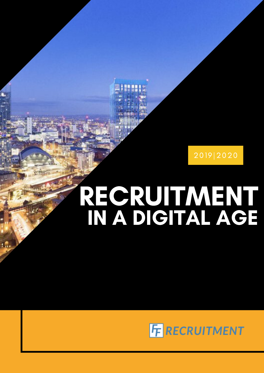

# RECRUITMENT IN A DIGITAL AGE

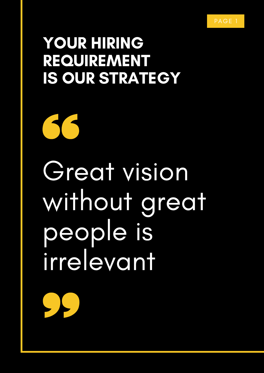### YOUR HIRING REQUIREMENT IS OUR STRATEGY

Great vision without great people is irrelevant

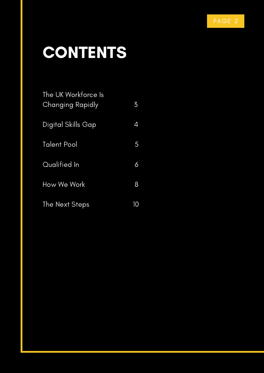## CONTENTS

| The UK Workforce Is<br>Changing Rapidly | $\overline{5}$ |
|-----------------------------------------|----------------|
| Digital Skills Gap                      | 4              |
| Talent Pool                             | 5              |
| Qualified In                            | 6              |
| How We Work                             | 8              |
| The Next Steps                          | 10             |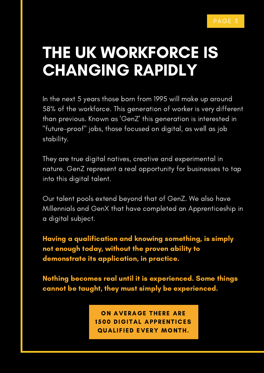## THE UK WORKFORCE IS CHANGING RAPIDLY

In the next 5 years those born from 1995 will make up around 58% of the workforce. This generation of worker is very different than previous. Known as 'GenZ' this generation is interested in "future-proof" jobs, those focused on digital, as well as job stability.

They are true digital natives, creative and experimental in nature. GenZ represent a real opportunity for businesses to tap into this digital talent.

Our talent pools extend beyond that of GenZ. We also have Millennials and GenX that have completed an Apprenticeship in a digital subject.

Having a qualification and knowing something, is simply not enough today, without the proven ability to demonstrate its application, in practice.

Nothing becomes real until it is experienced. Some things cannot be taught, they must simply be experienced.

> ON AVERAGE THERE ARE 1500 DIGITAL APPRENTICES QUALIFIED EVERY MONTH.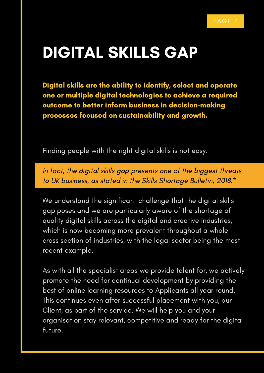#### DIGITAL SKILLS GAP

Digital skills are the ability to identify, select and operate one or multiple digital technologies to achieve a required outcome to better inform business in decision-making processes focused on sustainability and growth.

Finding people with the right digital skills is not easy.

In fact, the digital skills gap presents one of the biggest threats to UK business, as stated in the Skills Shortage Bulletin, 2018.\*

We understand the significant challenge that the digital skills gap poses and we are particularly aware of the shortage of quality digital skills across the digital and creative industries, which is now becoming more prevalent throughout a whole cross section of industries, with the legal sector being the most recent example.

As with all the specialist areas we provide talent for, we actively promote the need for continual development by providing the best of online learning resources to Applicants all year round. This continues even after successful placement with you, our Client, as part of the service. We will help you and your organisation stay relevant, competitive and ready for the digital future.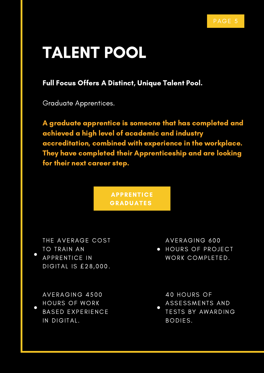## TALENT POOL

Full Focus Offers A Distinct, Unique Talent Pool.

Graduate Apprentices.

A graduate apprentice is someone that has completed and achieved a high level of academic and industry accreditation, combined with experience in the workplace. They have completed their Apprenticeship and are looking for their next career step.

> **APPRENTICE** GRADUATES

THE AVERAGE COST TO TRAIN AN APPRENTICE IN DIGITAL IS £28,000.

AVERAGING 4500 HOURS OF WORK BASED EXPERIENCE IN DIGITAL.

AVERAGING 600

**• HOURS OF PROJECT** WORK COMPLETED.

40 HOURS OF ASSESSMENTS AND

TESTS BY AWARDING BODIES.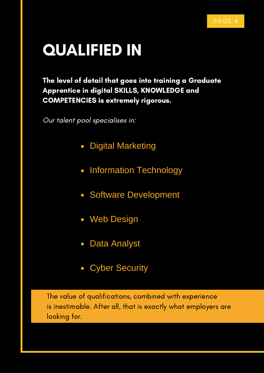## QUALIFIED IN

The level of detail that goes into training a Graduate Apprentice in digital SKILLS, KNOWLEDGE and COMPETENCIES is extremely rigorous.

Our talent pool specialises in:

- Digital Marketing  $\bullet$
- Information Technology
- Software Development
- Web Design
- Data Analyst
- Cyber Security

The value of qualifications, combined with experience is inestimable. After all, that is exactly what employers are looking for.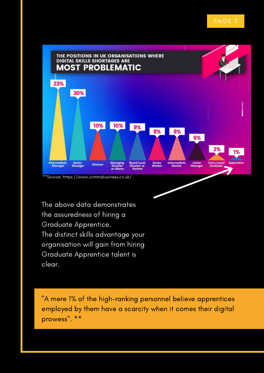

The above data demonstrates the assuredness of hiring a Graduate Apprentice. The distinct skills advantage your organisation will gain from hiring Graduate Apprentice talent is clear.

"A mere 1% of the high-ranking personnel believe apprentices employed by them have a scarcity when it comes their digital prowess". \*\*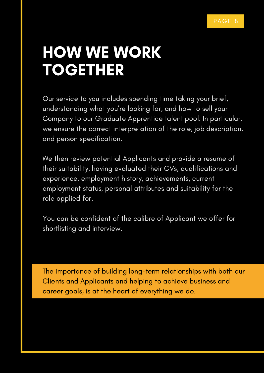## HOW WE WORK TOGETHER

Our service to you includes spending time taking your brief, understanding what you're looking for, and how to sell your Company to our Graduate Apprentice talent pool. In particular, we ensure the correct interpretation of the role, job description, and person specification.

We then review potential Applicants and provide a resume of their suitability, having evaluated their CVs, qualifications and experience, employment history, achievements, current employment status, personal attributes and suitability for the role applied for.

You can be confident of the calibre of Applicant we offer for shortlisting and interview.

The importance of building long-term relationships with both our Clients and Applicants and helping to achieve business and career goals, is at the heart of everything we do.